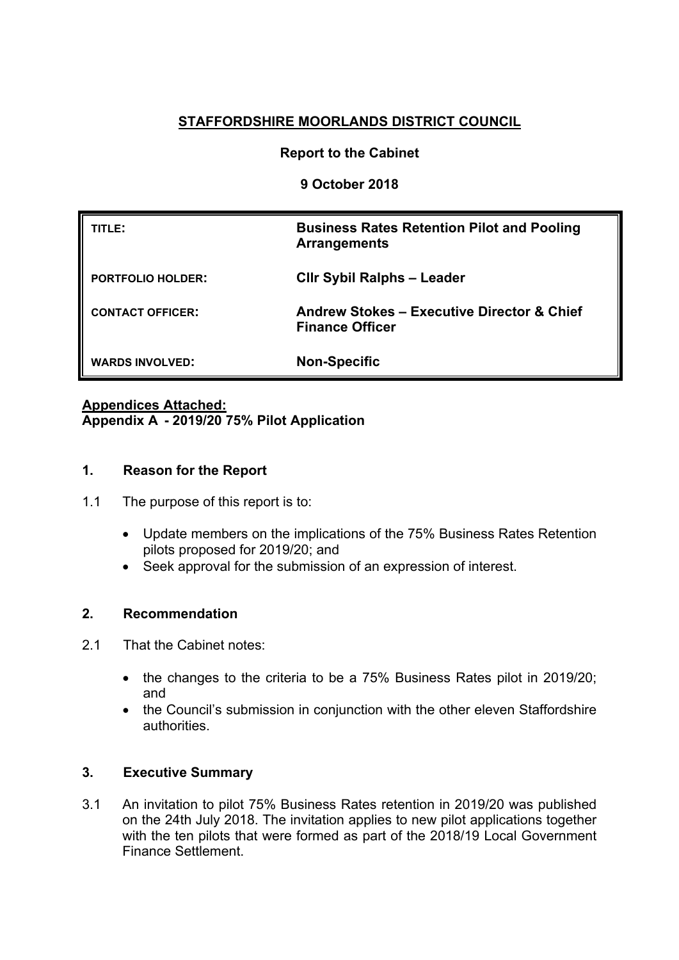# **STAFFORDSHIRE MOORLANDS DISTRICT COUNCIL**

## **Report to the Cabinet**

**9 October 2018**

| TITLE:                   | <b>Business Rates Retention Pilot and Pooling</b><br><b>Arrangements</b>        |
|--------------------------|---------------------------------------------------------------------------------|
| <b>PORTFOLIO HOLDER:</b> | <b>CIIr Sybil Ralphs - Leader</b>                                               |
| <b>CONTACT OFFICER:</b>  | <b>Andrew Stokes - Executive Director &amp; Chief</b><br><b>Finance Officer</b> |
| <b>WARDS INVOLVED:</b>   | <b>Non-Specific</b>                                                             |

# **Appendices Attached: Appendix A - 2019/20 75% Pilot Application**

## **1. Reason for the Report**

- 1.1 The purpose of this report is to:
	- Update members on the implications of the 75% Business Rates Retention pilots proposed for 2019/20; and
	- Seek approval for the submission of an expression of interest.

## **2. Recommendation**

- 2.1 That the Cabinet notes:
	- the changes to the criteria to be a 75% Business Rates pilot in 2019/20; and
	- the Council's submission in conjunction with the other eleven Staffordshire authorities.

## **3. Executive Summary**

3.1 An invitation to pilot 75% Business Rates retention in 2019/20 was published on the 24th July 2018. The invitation applies to new pilot applications together with the ten pilots that were formed as part of the 2018/19 Local Government Finance Settlement.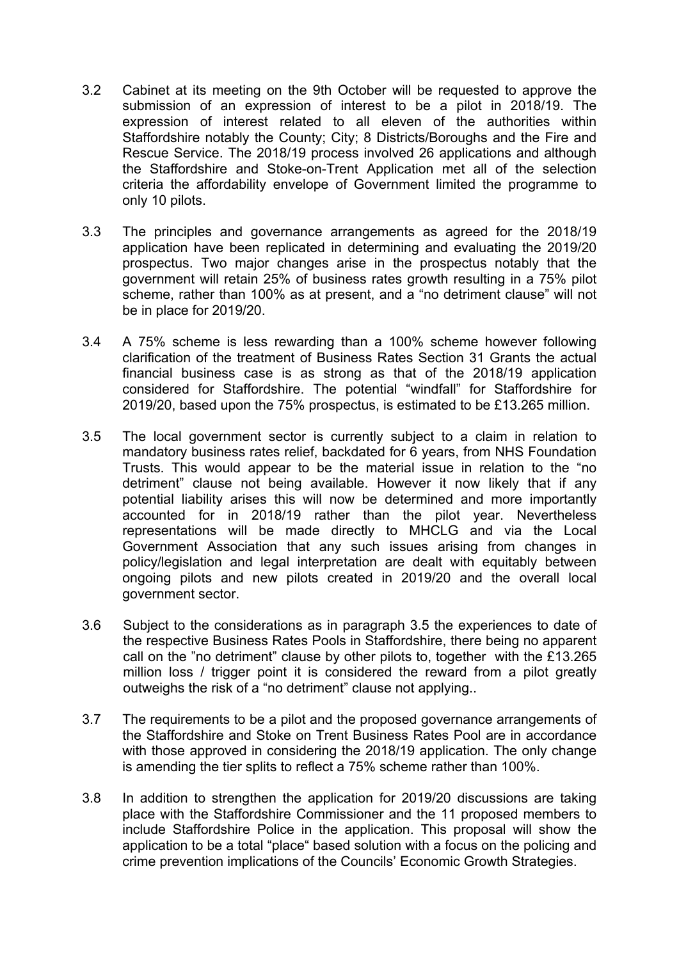- 3.2 Cabinet at its meeting on the 9th October will be requested to approve the submission of an expression of interest to be a pilot in 2018/19. The expression of interest related to all eleven of the authorities within Staffordshire notably the County; City; 8 Districts/Boroughs and the Fire and Rescue Service. The 2018/19 process involved 26 applications and although the Staffordshire and Stoke-on-Trent Application met all of the selection criteria the affordability envelope of Government limited the programme to only 10 pilots.
- 3.3 The principles and governance arrangements as agreed for the 2018/19 application have been replicated in determining and evaluating the 2019/20 prospectus. Two major changes arise in the prospectus notably that the government will retain 25% of business rates growth resulting in a 75% pilot scheme, rather than 100% as at present, and a "no detriment clause" will not be in place for 2019/20.
- 3.4 A 75% scheme is less rewarding than a 100% scheme however following clarification of the treatment of Business Rates Section 31 Grants the actual financial business case is as strong as that of the 2018/19 application considered for Staffordshire. The potential "windfall" for Staffordshire for 2019/20, based upon the 75% prospectus, is estimated to be £13.265 million.
- 3.5 The local government sector is currently subject to a claim in relation to mandatory business rates relief, backdated for 6 years, from NHS Foundation Trusts. This would appear to be the material issue in relation to the "no detriment" clause not being available. However it now likely that if any potential liability arises this will now be determined and more importantly accounted for in 2018/19 rather than the pilot year. Nevertheless representations will be made directly to MHCLG and via the Local Government Association that any such issues arising from changes in policy/legislation and legal interpretation are dealt with equitably between ongoing pilots and new pilots created in 2019/20 and the overall local government sector.
- 3.6 Subject to the considerations as in paragraph 3.5 the experiences to date of the respective Business Rates Pools in Staffordshire, there being no apparent call on the "no detriment" clause by other pilots to, together with the £13.265 million loss / trigger point it is considered the reward from a pilot greatly outweighs the risk of a "no detriment" clause not applying..
- 3.7 The requirements to be a pilot and the proposed governance arrangements of the Staffordshire and Stoke on Trent Business Rates Pool are in accordance with those approved in considering the 2018/19 application. The only change is amending the tier splits to reflect a 75% scheme rather than 100%.
- 3.8 In addition to strengthen the application for 2019/20 discussions are taking place with the Staffordshire Commissioner and the 11 proposed members to include Staffordshire Police in the application. This proposal will show the application to be a total "place" based solution with a focus on the policing and crime prevention implications of the Councils' Economic Growth Strategies.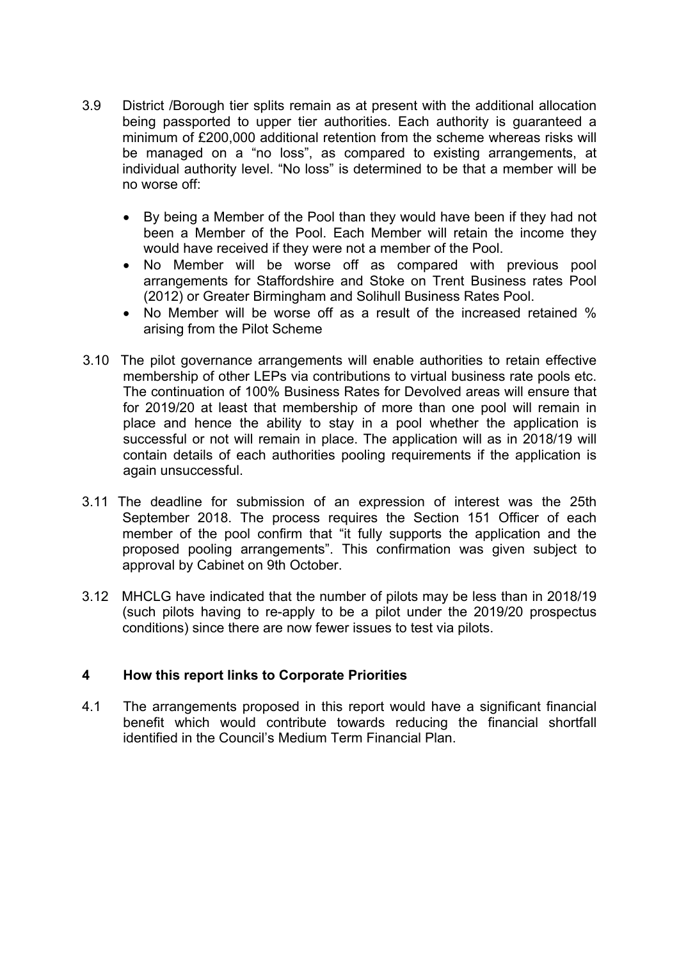- 3.9 District /Borough tier splits remain as at present with the additional allocation being passported to upper tier authorities. Each authority is quaranteed a minimum of £200,000 additional retention from the scheme whereas risks will be managed on a "no loss", as compared to existing arrangements, at individual authority level. "No loss" is determined to be that a member will be no worse off:
	- By being a Member of the Pool than they would have been if they had not been a Member of the Pool. Each Member will retain the income they would have received if they were not a member of the Pool.
	- No Member will be worse off as compared with previous pool arrangements for Staffordshire and Stoke on Trent Business rates Pool (2012) or Greater Birmingham and Solihull Business Rates Pool.
	- No Member will be worse off as a result of the increased retained % arising from the Pilot Scheme
- 3.10 The pilot governance arrangements will enable authorities to retain effective membership of other LEPs via contributions to virtual business rate pools etc. The continuation of 100% Business Rates for Devolved areas will ensure that for 2019/20 at least that membership of more than one pool will remain in place and hence the ability to stay in a pool whether the application is successful or not will remain in place. The application will as in 2018/19 will contain details of each authorities pooling requirements if the application is again unsuccessful.
- 3.11 The deadline for submission of an expression of interest was the 25th September 2018. The process requires the Section 151 Officer of each member of the pool confirm that "it fully supports the application and the proposed pooling arrangements". This confirmation was given subject to approval by Cabinet on 9th October.
- 3.12 MHCLG have indicated that the number of pilots may be less than in 2018/19 (such pilots having to re-apply to be a pilot under the 2019/20 prospectus conditions) since there are now fewer issues to test via pilots.

## **4 How this report links to Corporate Priorities**

4.1 The arrangements proposed in this report would have a significant financial benefit which would contribute towards reducing the financial shortfall identified in the Council's Medium Term Financial Plan.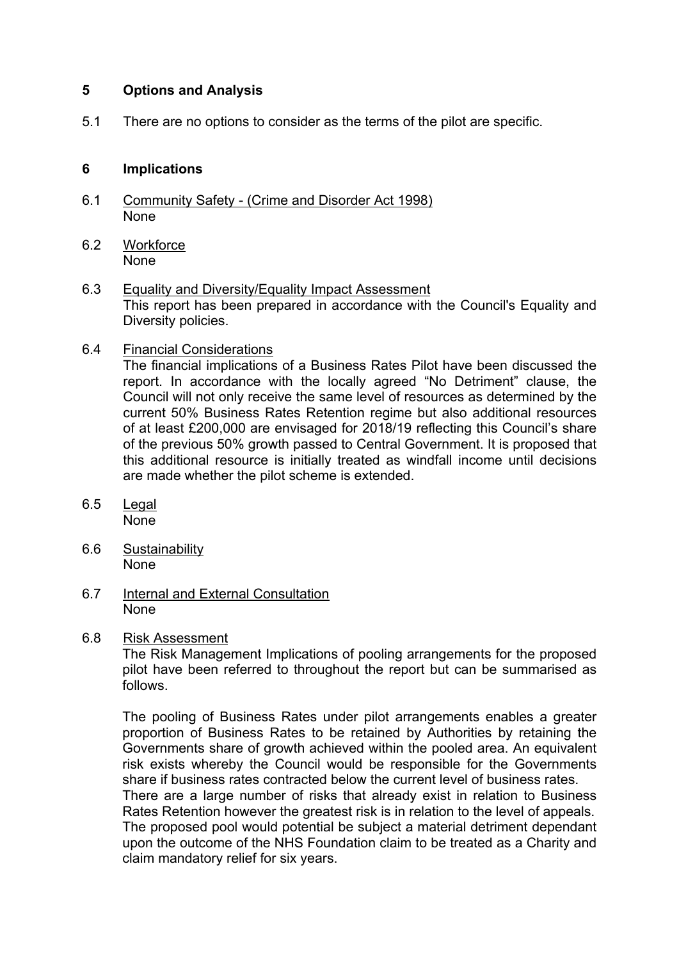## **5 Options and Analysis**

5.1 There are no options to consider as the terms of the pilot are specific.

## **6 Implications**

- 6.1 Community Safety (Crime and Disorder Act 1998) None
- 6.2 Workforce None
- 6.3 Equality and Diversity/Equality Impact Assessment This report has been prepared in accordance with the Council's Equality and Diversity policies.
- 6.4 Financial Considerations

The financial implications of a Business Rates Pilot have been discussed the report. In accordance with the locally agreed "No Detriment" clause, the Council will not only receive the same level of resources as determined by the current 50% Business Rates Retention regime but also additional resources of at least £200,000 are envisaged for 2018/19 reflecting this Council's share of the previous 50% growth passed to Central Government. It is proposed that this additional resource is initially treated as windfall income until decisions are made whether the pilot scheme is extended.

- 6.5 Legal None
- 6.6 Sustainability None
- 6.7 Internal and External Consultation None
- 6.8 Risk Assessment

The Risk Management Implications of pooling arrangements for the proposed pilot have been referred to throughout the report but can be summarised as follows.

The pooling of Business Rates under pilot arrangements enables a greater proportion of Business Rates to be retained by Authorities by retaining the Governments share of growth achieved within the pooled area. An equivalent risk exists whereby the Council would be responsible for the Governments share if business rates contracted below the current level of business rates. There are a large number of risks that already exist in relation to Business Rates Retention however the greatest risk is in relation to the level of appeals. The proposed pool would potential be subject a material detriment dependant upon the outcome of the NHS Foundation claim to be treated as a Charity and claim mandatory relief for six years.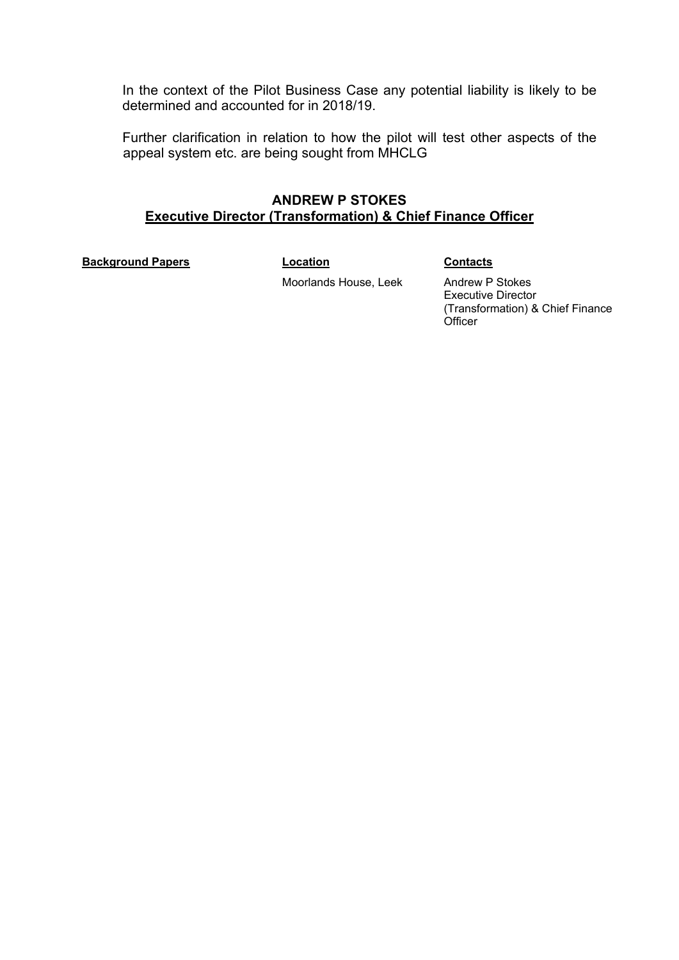In the context of the Pilot Business Case any potential liability is likely to be determined and accounted for in 2018/19.

Further clarification in relation to how the pilot will test other aspects of the appeal system etc. are being sought from MHCLG

## **ANDREW P STOKES Executive Director (Transformation) & Chief Finance Officer**

**Background Papers Contacts Location Contacts** 

Moorlands House, Leek Andrew P Stokes Executive Director (Transformation) & Chief Finance **Officer**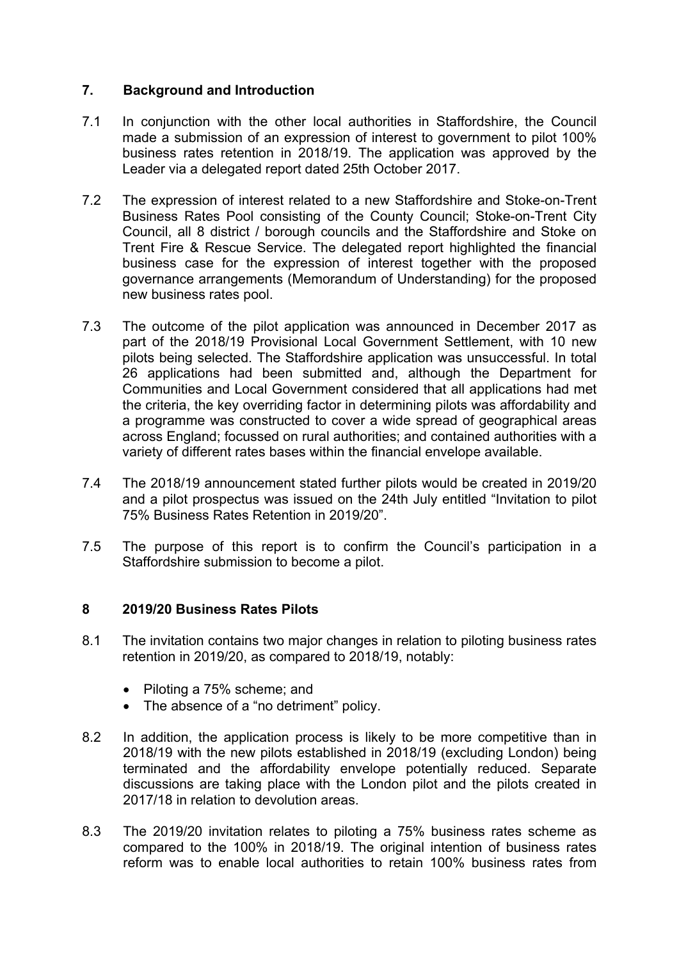## **7. Background and Introduction**

- 7.1 In conjunction with the other local authorities in Staffordshire, the Council made a submission of an expression of interest to government to pilot 100% business rates retention in 2018/19. The application was approved by the Leader via a delegated report dated 25th October 2017.
- 7.2 The expression of interest related to a new Staffordshire and Stoke-on-Trent Business Rates Pool consisting of the County Council; Stoke-on-Trent City Council, all 8 district / borough councils and the Staffordshire and Stoke on Trent Fire & Rescue Service. The delegated report highlighted the financial business case for the expression of interest together with the proposed governance arrangements (Memorandum of Understanding) for the proposed new business rates pool.
- 7.3 The outcome of the pilot application was announced in December 2017 as part of the 2018/19 Provisional Local Government Settlement, with 10 new pilots being selected. The Staffordshire application was unsuccessful. In total 26 applications had been submitted and, although the Department for Communities and Local Government considered that all applications had met the criteria, the key overriding factor in determining pilots was affordability and a programme was constructed to cover a wide spread of geographical areas across England; focussed on rural authorities; and contained authorities with a variety of different rates bases within the financial envelope available.
- 7.4 The 2018/19 announcement stated further pilots would be created in 2019/20 and a pilot prospectus was issued on the 24th July entitled "Invitation to pilot 75% Business Rates Retention in 2019/20".
- 7.5 The purpose of this report is to confirm the Council's participation in a Staffordshire submission to become a pilot.

## **8 2019/20 Business Rates Pilots**

- 8.1 The invitation contains two major changes in relation to piloting business rates retention in 2019/20, as compared to 2018/19, notably:
	- Piloting a 75% scheme; and
	- The absence of a "no detriment" policy.
- 8.2 In addition, the application process is likely to be more competitive than in 2018/19 with the new pilots established in 2018/19 (excluding London) being terminated and the affordability envelope potentially reduced. Separate discussions are taking place with the London pilot and the pilots created in 2017/18 in relation to devolution areas.
- 8.3 The 2019/20 invitation relates to piloting a 75% business rates scheme as compared to the 100% in 2018/19. The original intention of business rates reform was to enable local authorities to retain 100% business rates from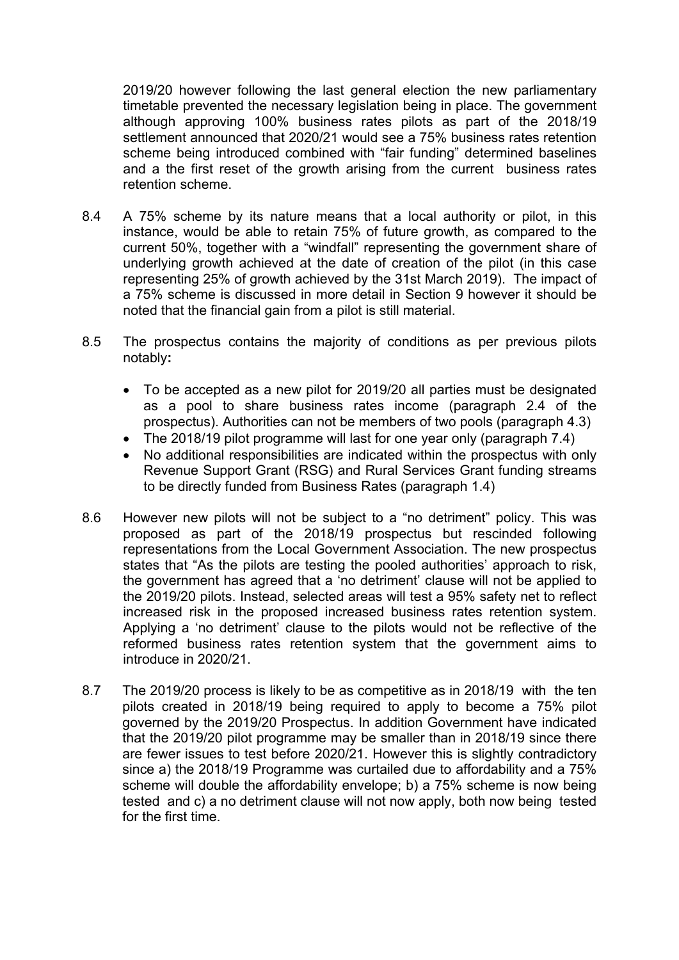2019/20 however following the last general election the new parliamentary timetable prevented the necessary legislation being in place. The government although approving 100% business rates pilots as part of the 2018/19 settlement announced that 2020/21 would see a 75% business rates retention scheme being introduced combined with "fair funding" determined baselines and a the first reset of the growth arising from the current business rates retention scheme.

- 8.4 A 75% scheme by its nature means that a local authority or pilot, in this instance, would be able to retain 75% of future growth, as compared to the current 50%, together with a "windfall" representing the government share of underlying growth achieved at the date of creation of the pilot (in this case representing 25% of growth achieved by the 31st March 2019). The impact of a 75% scheme is discussed in more detail in Section 9 however it should be noted that the financial gain from a pilot is still material.
- 8.5 The prospectus contains the majority of conditions as per previous pilots notably**:**
	- To be accepted as a new pilot for 2019/20 all parties must be designated as a pool to share business rates income (paragraph 2.4 of the prospectus). Authorities can not be members of two pools (paragraph 4.3)
	- The 2018/19 pilot programme will last for one year only (paragraph 7.4)
	- No additional responsibilities are indicated within the prospectus with only Revenue Support Grant (RSG) and Rural Services Grant funding streams to be directly funded from Business Rates (paragraph 1.4)
- 8.6 However new pilots will not be subject to a "no detriment" policy. This was proposed as part of the 2018/19 prospectus but rescinded following representations from the Local Government Association. The new prospectus states that "As the pilots are testing the pooled authorities' approach to risk, the government has agreed that a 'no detriment' clause will not be applied to the 2019/20 pilots. Instead, selected areas will test a 95% safety net to reflect increased risk in the proposed increased business rates retention system. Applying a 'no detriment' clause to the pilots would not be reflective of the reformed business rates retention system that the government aims to introduce in 2020/21.
- 8.7 The 2019/20 process is likely to be as competitive as in 2018/19 with the ten pilots created in 2018/19 being required to apply to become a 75% pilot governed by the 2019/20 Prospectus. In addition Government have indicated that the 2019/20 pilot programme may be smaller than in 2018/19 since there are fewer issues to test before 2020/21. However this is slightly contradictory since a) the 2018/19 Programme was curtailed due to affordability and a 75% scheme will double the affordability envelope; b) a 75% scheme is now being tested and c) a no detriment clause will not now apply, both now being tested for the first time.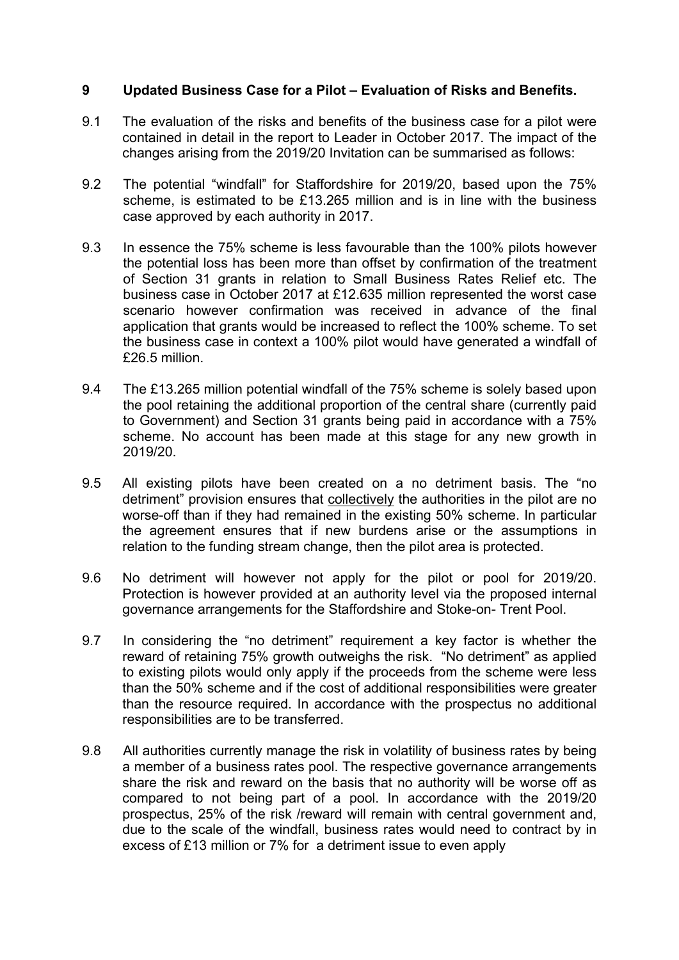## **9 Updated Business Case for a Pilot – Evaluation of Risks and Benefits.**

- 9.1 The evaluation of the risks and benefits of the business case for a pilot were contained in detail in the report to Leader in October 2017. The impact of the changes arising from the 2019/20 Invitation can be summarised as follows:
- 9.2 The potential "windfall" for Staffordshire for 2019/20, based upon the 75% scheme, is estimated to be £13.265 million and is in line with the business case approved by each authority in 2017.
- 9.3 In essence the 75% scheme is less favourable than the 100% pilots however the potential loss has been more than offset by confirmation of the treatment of Section 31 grants in relation to Small Business Rates Relief etc. The business case in October 2017 at £12.635 million represented the worst case scenario however confirmation was received in advance of the final application that grants would be increased to reflect the 100% scheme. To set the business case in context a 100% pilot would have generated a windfall of £26.5 million.
- 9.4 The £13.265 million potential windfall of the 75% scheme is solely based upon the pool retaining the additional proportion of the central share (currently paid to Government) and Section 31 grants being paid in accordance with a 75% scheme. No account has been made at this stage for any new growth in 2019/20.
- 9.5 All existing pilots have been created on a no detriment basis. The "no detriment" provision ensures that collectively the authorities in the pilot are no worse-off than if they had remained in the existing 50% scheme. In particular the agreement ensures that if new burdens arise or the assumptions in relation to the funding stream change, then the pilot area is protected.
- 9.6 No detriment will however not apply for the pilot or pool for 2019/20. Protection is however provided at an authority level via the proposed internal governance arrangements for the Staffordshire and Stoke-on- Trent Pool.
- 9.7 In considering the "no detriment" requirement a key factor is whether the reward of retaining 75% growth outweighs the risk. "No detriment" as applied to existing pilots would only apply if the proceeds from the scheme were less than the 50% scheme and if the cost of additional responsibilities were greater than the resource required. In accordance with the prospectus no additional responsibilities are to be transferred.
- 9.8 All authorities currently manage the risk in volatility of business rates by being a member of a business rates pool. The respective governance arrangements share the risk and reward on the basis that no authority will be worse off as compared to not being part of a pool. In accordance with the 2019/20 prospectus, 25% of the risk /reward will remain with central government and, due to the scale of the windfall, business rates would need to contract by in excess of £13 million or 7% for a detriment issue to even apply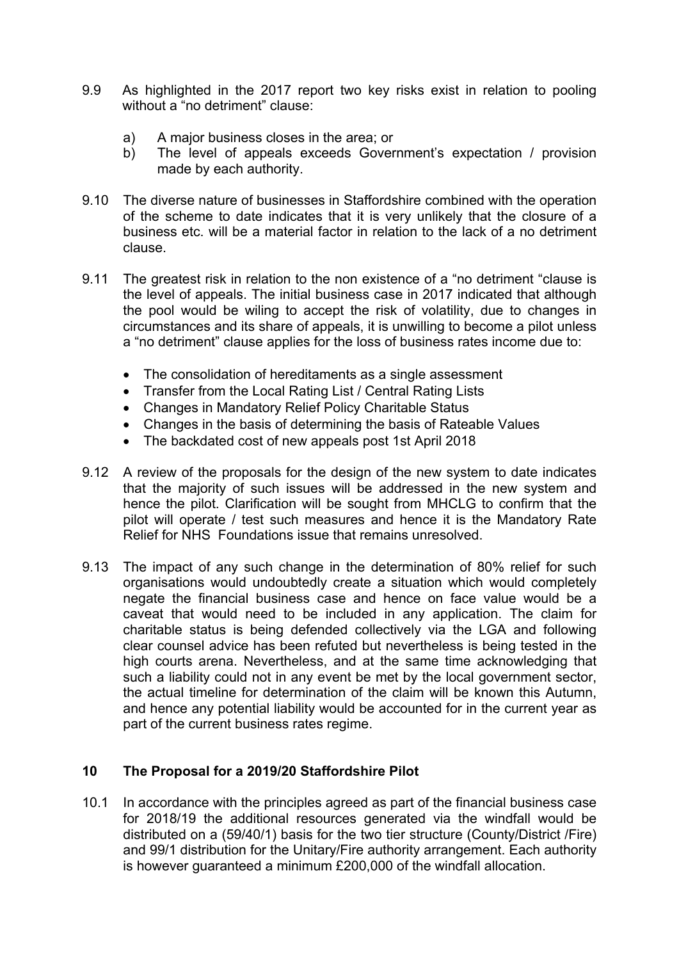- 9.9 As highlighted in the 2017 report two key risks exist in relation to pooling without a "no detriment" clause:
	- a) A major business closes in the area; or
	- b) The level of appeals exceeds Government's expectation / provision made by each authority.
- 9.10 The diverse nature of businesses in Staffordshire combined with the operation of the scheme to date indicates that it is very unlikely that the closure of a business etc. will be a material factor in relation to the lack of a no detriment clause.
- 9.11 The greatest risk in relation to the non existence of a "no detriment "clause is the level of appeals. The initial business case in 2017 indicated that although the pool would be wiling to accept the risk of volatility, due to changes in circumstances and its share of appeals, it is unwilling to become a pilot unless a "no detriment" clause applies for the loss of business rates income due to:
	- The consolidation of hereditaments as a single assessment
	- Transfer from the Local Rating List / Central Rating Lists
	- Changes in Mandatory Relief Policy Charitable Status
	- Changes in the basis of determining the basis of Rateable Values
	- The backdated cost of new appeals post 1st April 2018
- 9.12 A review of the proposals for the design of the new system to date indicates that the majority of such issues will be addressed in the new system and hence the pilot. Clarification will be sought from MHCLG to confirm that the pilot will operate / test such measures and hence it is the Mandatory Rate Relief for NHS Foundations issue that remains unresolved.
- 9.13 The impact of any such change in the determination of 80% relief for such organisations would undoubtedly create a situation which would completely negate the financial business case and hence on face value would be a caveat that would need to be included in any application. The claim for charitable status is being defended collectively via the LGA and following clear counsel advice has been refuted but nevertheless is being tested in the high courts arena. Nevertheless, and at the same time acknowledging that such a liability could not in any event be met by the local government sector, the actual timeline for determination of the claim will be known this Autumn, and hence any potential liability would be accounted for in the current year as part of the current business rates regime.

## **10 The Proposal for a 2019/20 Staffordshire Pilot**

10.1 In accordance with the principles agreed as part of the financial business case for 2018/19 the additional resources generated via the windfall would be distributed on a (59/40/1) basis for the two tier structure (County/District /Fire) and 99/1 distribution for the Unitary/Fire authority arrangement. Each authority is however guaranteed a minimum £200,000 of the windfall allocation.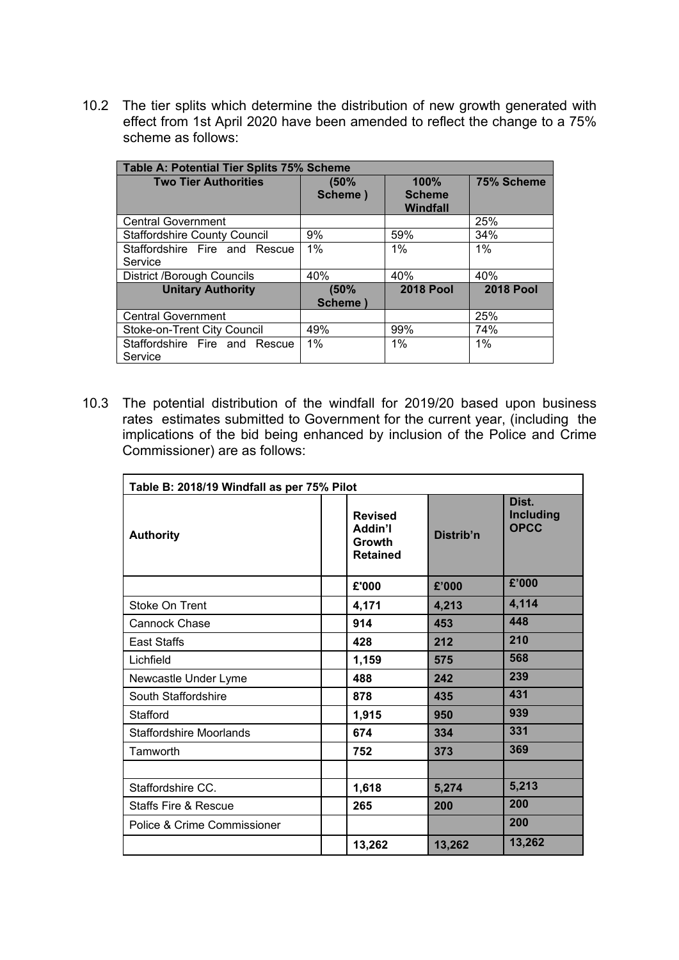10.2 The tier splits which determine the distribution of new growth generated with effect from 1st April 2020 have been amended to reflect the change to a 75% scheme as follows:

| Table A: Potential Tier Splits 75% Scheme |                  |                                   |                  |  |  |
|-------------------------------------------|------------------|-----------------------------------|------------------|--|--|
| <b>Two Tier Authorities</b>               | (50%<br>Scheme)  | 100%<br><b>Scheme</b><br>Windfall | 75% Scheme       |  |  |
| <b>Central Government</b>                 |                  |                                   | 25%              |  |  |
| <b>Staffordshire County Council</b>       | 9%               | 59%                               | 34%              |  |  |
| Staffordshire Fire and Rescue<br>Service  | $1\%$            | 1%                                | 1%               |  |  |
| <b>District /Borough Councils</b>         | 40%              | 40%                               | 40%              |  |  |
| <b>Unitary Authority</b>                  | (50%<br>Scheme ) | <b>2018 Pool</b>                  | <b>2018 Pool</b> |  |  |
| <b>Central Government</b>                 |                  |                                   | 25%              |  |  |
| Stoke-on-Trent City Council               | 49%              | 99%                               | 74%              |  |  |
| Staffordshire Fire and Rescue<br>Service  | $1\%$            | 1%                                | $1\%$            |  |  |

10.3 The potential distribution of the windfall for 2019/20 based upon business rates estimates submitted to Government for the current year, (including the implications of the bid being enhanced by inclusion of the Police and Crime Commissioner) are as follows:

| Table B: 2018/19 Windfall as per 75% Pilot |                                                        |           |                                          |  |  |
|--------------------------------------------|--------------------------------------------------------|-----------|------------------------------------------|--|--|
| <b>Authority</b>                           | <b>Revised</b><br>Addin'l<br>Growth<br><b>Retained</b> | Distrib'n | Dist.<br><b>Including</b><br><b>OPCC</b> |  |  |
|                                            | £'000                                                  | £'000     | £'000                                    |  |  |
| <b>Stoke On Trent</b>                      | 4,171                                                  | 4,213     | 4,114                                    |  |  |
| <b>Cannock Chase</b>                       | 914                                                    | 453       | 448                                      |  |  |
| <b>East Staffs</b>                         | 428                                                    | 212       | 210                                      |  |  |
| Lichfield                                  | 1,159                                                  | 575       | 568                                      |  |  |
| Newcastle Under Lyme                       | 488                                                    | 242       | 239                                      |  |  |
| South Staffordshire                        | 878                                                    | 435       | 431                                      |  |  |
| Stafford                                   | 1,915                                                  | 950       | 939                                      |  |  |
| <b>Staffordshire Moorlands</b>             | 674                                                    | 334       | 331                                      |  |  |
| Tamworth                                   | 752                                                    | 373       | 369                                      |  |  |
|                                            |                                                        |           |                                          |  |  |
| Staffordshire CC.                          | 1,618                                                  | 5,274     | 5,213                                    |  |  |
| Staffs Fire & Rescue                       | 265                                                    | 200       | 200                                      |  |  |
| Police & Crime Commissioner                |                                                        |           | 200                                      |  |  |
|                                            | 13,262                                                 | 13,262    | 13,262                                   |  |  |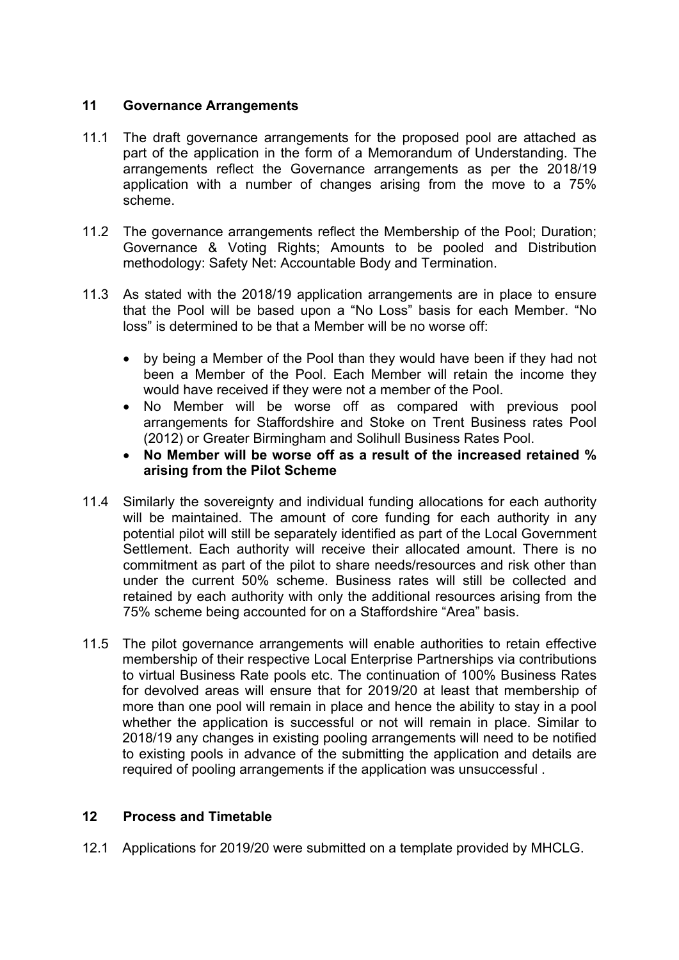## **11 Governance Arrangements**

- 11.1 The draft governance arrangements for the proposed pool are attached as part of the application in the form of a Memorandum of Understanding. The arrangements reflect the Governance arrangements as per the 2018/19 application with a number of changes arising from the move to a 75% scheme.
- 11.2 The governance arrangements reflect the Membership of the Pool; Duration; Governance & Voting Rights; Amounts to be pooled and Distribution methodology: Safety Net: Accountable Body and Termination.
- 11.3 As stated with the 2018/19 application arrangements are in place to ensure that the Pool will be based upon a "No Loss" basis for each Member. "No loss" is determined to be that a Member will be no worse off:
	- by being a Member of the Pool than they would have been if they had not been a Member of the Pool. Each Member will retain the income they would have received if they were not a member of the Pool.
	- No Member will be worse off as compared with previous pool arrangements for Staffordshire and Stoke on Trent Business rates Pool (2012) or Greater Birmingham and Solihull Business Rates Pool.
	- **No Member will be worse off as a result of the increased retained % arising from the Pilot Scheme**
- 11.4 Similarly the sovereignty and individual funding allocations for each authority will be maintained. The amount of core funding for each authority in any potential pilot will still be separately identified as part of the Local Government Settlement. Each authority will receive their allocated amount. There is no commitment as part of the pilot to share needs/resources and risk other than under the current 50% scheme. Business rates will still be collected and retained by each authority with only the additional resources arising from the 75% scheme being accounted for on a Staffordshire "Area" basis.
- 11.5 The pilot governance arrangements will enable authorities to retain effective membership of their respective Local Enterprise Partnerships via contributions to virtual Business Rate pools etc. The continuation of 100% Business Rates for devolved areas will ensure that for 2019/20 at least that membership of more than one pool will remain in place and hence the ability to stay in a pool whether the application is successful or not will remain in place. Similar to 2018/19 any changes in existing pooling arrangements will need to be notified to existing pools in advance of the submitting the application and details are required of pooling arrangements if the application was unsuccessful .

## **12 Process and Timetable**

12.1 Applications for 2019/20 were submitted on a template provided by MHCLG.